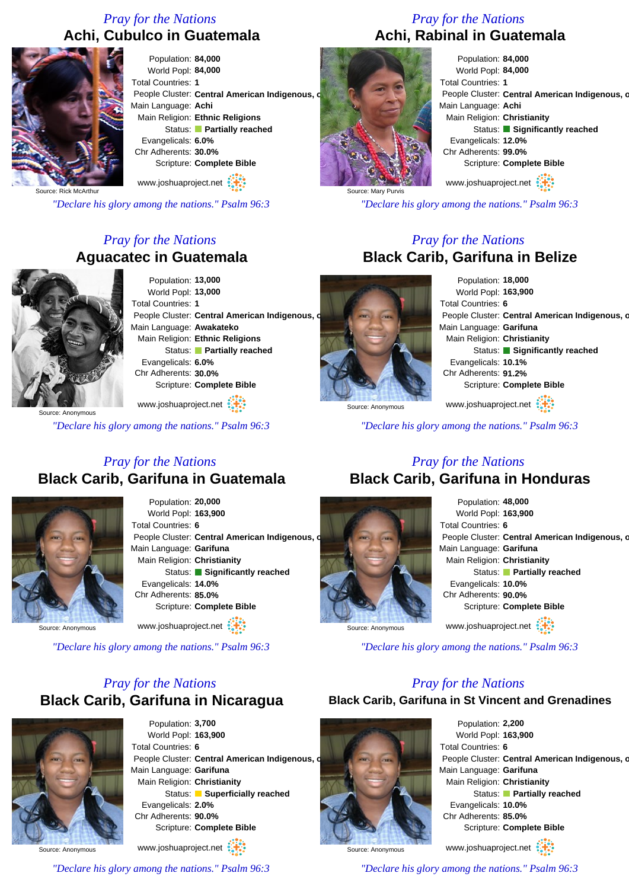## *Pray for the Nations* **Achi, Cubulco in Guatemala**



Population: **84,000** World Popl: **84,000** Total Countries: **1** People Cluster: Central American Indigenous, o Main Language: **Achi** Main Religion: **Ethnic Religions** Status: **Partially reached** Evangelicals: **6.0%** Chr Adherents: **30.0%** Scripture: **Complete Bible**

Source: Rick McArthur

*"Declare his glory among the nations." Psalm 96:3*

## *Pray for the Nations* **Aguacatec in Guatemala**



Population: **13,000** World Popl: **13,000** Total Countries: **1** People Cluster: Central American Indigenous, o Main Language: **Awakateko** Main Religion: **Ethnic Religions** Status: **Partially reached** Evangelicals: **6.0%** Chr Adherents: **30.0%** Scripture: **Complete Bible**

www.joshuaproject.net

*"Declare his glory among the nations." Psalm 96:3*

*Pray for the Nations* **Black Carib, Garifuna in Belize** Population: **18,000** World Popl: **163,900** Total Countries: **6** People Cluster: Central American Indigenous, o Main Language: **Garifuna** Main Religion: **Christianity** Status: **Significantly reached** Evangelicals: **10.1%** Chr Adherents: **91.2%**

People Cluster: Central American Indigenous, o

Status: **Significantly reached** 

Scripture: **Complete Bible**

www.joshuaproject.net

Scripture: **Complete Bible**

www.joshuaproject.net

*"Declare his glory among the nations." Psalm 96:3*

## *Pray for the Nations* **Black Carib, Garifuna in Guatemala**



Population: **20,000** World Popl: **163,900** Total Countries: **6** People Cluster: Central American Indigenous, o Main Language: **Garifuna** Main Religion: **Christianity** Status: **Significantly reached** Evangelicals: **14.0%** Chr Adherents: **85.0%** Scripture: **Complete Bible** www.joshuaproject.net

Source: Anonymous

*"Declare his glory among the nations." Psalm 96:3*

## *Pray for the Nations* **Black Carib, Garifuna in Nicaragua**



Population: **3,700** World Popl: **163,900** Total Countries: **6** People Cluster: **Central American Indigenous, d** Main Language: **Garifuna** Main Religion: **Christianity** Status: **Superficially reached** Evangelicals: **2.0%** Chr Adherents: **90.0%** Scripture: **Complete Bible**

www.joshuaproject.net

*"Declare his glory among the nations." Psalm 96:3*

## *Pray for the Nations* **Black Carib, Garifuna in Honduras**



Source: Anonymous

Population: **48,000** World Popl: **163,900** Total Countries: **6** People Cluster: Central American Indigenous, o Main Language: **Garifuna** Main Religion: **Christianity** Status: **Partially reached** Evangelicals: **10.0%** Chr Adherents: **90.0%** Scripture: **Complete Bible** www.joshuaproject.net

Source: Anonymous

*"Declare his glory among the nations." Psalm 96:3*

## *Pray for the Nations*

**Black Carib, Garifuna in St Vincent and Grenadines**



Source: Anonymous

*"Declare his glory among the nations." Psalm 96:3*

## *Pray for the Nations* **Achi, Rabinal in Guatemala**

Total Countries: **1**

Main Language: **Achi** Main Religion: **Christianity**

Evangelicals: **12.0%** Chr Adherents: **99.0%**

Population: **84,000** World Popl: **84,000**

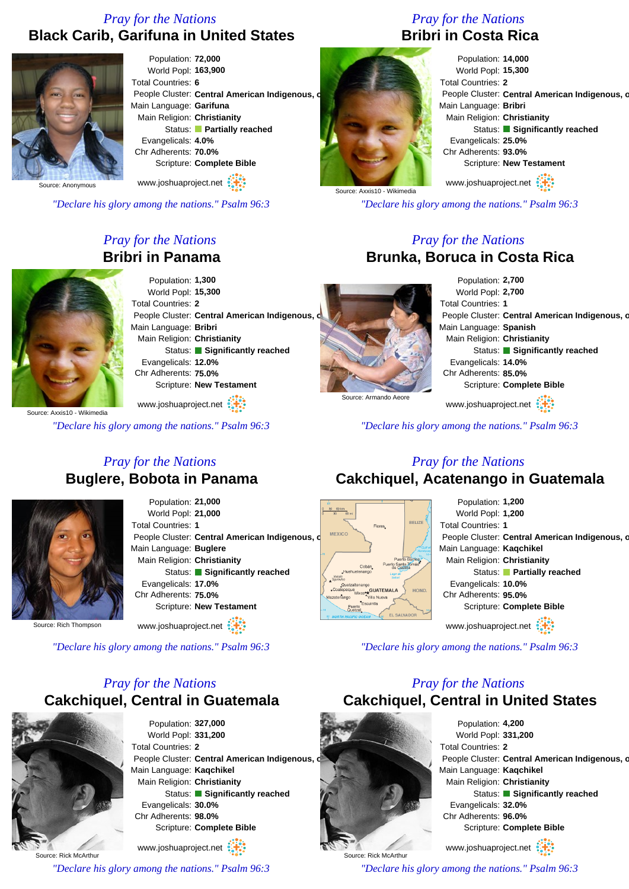## *Pray for the Nations* **Black Carib, Garifuna in United States**



Population: **72,000** World Popl: **163,900** Total Countries: **6** People Cluster: Central American Indigenous, o Main Language: **Garifuna** Main Religion: **Christianity** Status: **Partially reached** Evangelicals: **4.0%** Chr Adherents: **70.0%** Scripture: **Complete Bible**

Source: Anonymous

*"Declare his glory among the nations." Psalm 96:3*

www.joshuaproject.net

## *Pray for the Nations* **Bribri in Panama**



Population: **1,300** World Popl: **15,300** Total Countries: **2** People Cluster: Central American Indigenous, c Main Language: **Bribri** Main Religion: **Christianity** Status: **Significantly reached** Evangelicals: **12.0%** Chr Adherents: **75.0%** Scripture: **New Testament**

www.joshuaproject.net

*"Declare his glory among the nations." Psalm 96:3*

## *Pray for the Nations* **Bribri in Costa Rica**



Population: **14,000** World Popl: **15,300** Total Countries: **2** People Cluster: Central American Indigenous, o Main Language: **Bribri** Main Religion: **Christianity** Status: **Significantly reached** Evangelicals: **25.0%** Chr Adherents: **93.0%** Scripture: **New Testament** www.joshuaproject.net

*"Declare his glory among the nations." Psalm 96:3*

## *Pray for the Nations* **Brunka, Boruca in Costa Rica**



Population: **2,700** World Popl: **2,700** Total Countries: **1** People Cluster: Central American Indigenous, o Main Language: **Spanish** Main Religion: **Christianity** Status: **Significantly reached** Evangelicals: **14.0%** Chr Adherents: **85.0%** Scripture: **Complete Bible**

www.joshuaproject.net

*"Declare his glory among the nations." Psalm 96:3*

## *Pray for the Nations* **Buglere, Bobota in Panama**



Population: **21,000** World Popl: **21,000** Total Countries: **1** People Cluster: **Central American Indigenous, c** Main Language: **Buglere** Main Religion: **Christianity** Status: **Significantly reached** Evangelicals: **17.0%** Chr Adherents: **75.0%** Scripture: **New Testament**

Source: Rich Thompson

www.joshuaproject.net

*"Declare his glory among the nations." Psalm 96:3*

## *Pray for the Nations* **Cakchiquel, Central in Guatemala**



Source: Rick McArthur

Population: **327,000** World Popl: **331,200** Total Countries: **2** People Cluster: Central American Indigenous. Main Language: **Kaqchikel** Main Religion: **Christianity** Status: **Significantly reached** Evangelicals: **30.0%** Chr Adherents: **98.0%** Scripture: **Complete Bible**

www.joshuaproject.net

*"Declare his glory among the nations." Psalm 96:3*

## *Pray for the Nations* **Cakchiquel, Acatenango in Guatemala**



www.joshuaproject.net

*"Declare his glory among the nations." Psalm 96:3*

## *Pray for the Nations* **Cakchiquel, Central in United States**



Population: **4,200** World Popl: **331,200** Total Countries: **2** People Cluster: Central American Indigenous, o Main Language: **Kaqchikel** Main Religion: **Christianity** Status: **Significantly reached** Evangelicals: **32.0%** Chr Adherents: **96.0%** Scripture: **Complete Bible** www.joshuaproject.net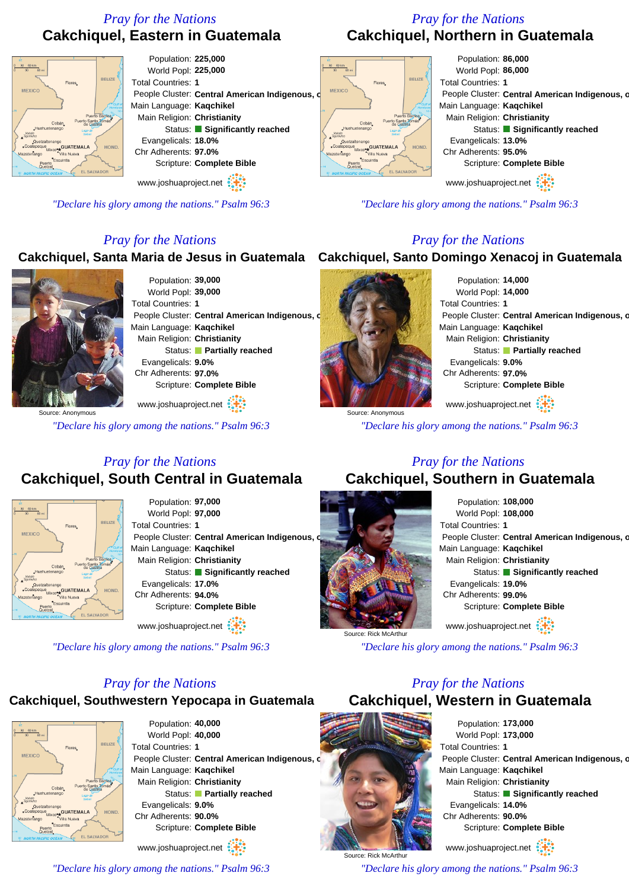## *Pray for the Nations* **Cakchiquel, Eastern in Guatemala**

## *Pray for the Nations* **Cakchiquel, Northern in Guatemala**

Total Countries: **1**

BELIZE

HOND.

*"Declare his glory among the nations." Psalm 96:3*

*Pray for the Nations*

Population: **86,000** World Popl: **86,000**

Main Language: **Kaqchikel** Main Religion: **Christianity**

Evangelicals: **13.0%** Chr Adherents: **95.0%**

People Cluster: Central American Indigenous, o

Status: **Significantly reached** 

Scripture: **Complete Bible**

www.joshuaproject.net



*"Declare his glory among the nations." Psalm 96:3*

## *Pray for the Nations*

## **Cakchiquel, Santa Maria de Jesus in Guatemala Cakchiquel, Santo Domingo Xenacoj in Guatemala**



Population: **39,000** World Popl: **39,000** Total Countries: **1** People Cluster: Central American Indigenous, c Main Language: **Kaqchikel** Main Religion: **Christianity** Status: **Partially reached** Evangelicals: **9.0%** Chr Adherents: **97.0%** Scripture: **Complete Bible** www.joshuaproject.net

Source: Anonymous

*"Declare his glory among the nations." Psalm 96:3*



altenango<br>Mixcorre GUATEMALA

Population: **14,000** World Popl: **14,000** Total Countries: **1** People Cluster: Central American Indigenous, o Main Language: **Kaqchikel** Main Religion: **Christianity** Status: **Partially reached** Evangelicals: **9.0%** Chr Adherents: **97.0%** Scripture: **Complete Bible** www.joshuaproject.net

*"Declare his glory among the nations." Psalm 96:3*

## *Pray for the Nations* **Cakchiquel, South Central in Guatemala**



Population: **97,000** World Popl: **97,000** Total Countries: **1** People Cluster: **Central American Indigenous.** Main Language: **Kaqchikel** Main Religion: **Christianity** Status: **Significantly reached** Evangelicals: **17.0%** Chr Adherents: **94.0%** Scripture: **Complete Bible**

www.joshuaproject.net

*"Declare his glory among the nations." Psalm 96:3*

## *Pray for the Nations*

## **Cakchiquel, Southwestern Yepocapa in Guatemala**



Population: **40,000** World Popl: **40,000** Total Countries: **1** People Cluster: **Central American Indigenous, c** Main Language: **Kaqchikel** Main Religion: **Christianity** Status: **Partially reached** Evangelicals: **9.0%** Chr Adherents: **90.0%** Scripture: **Complete Bible**

www.joshuaproject.net

*"Declare his glory among the nations." Psalm 96:3*

## *Pray for the Nations* **Cakchiquel, Southern in Guatemala**



*"Declare his glory among the nations." Psalm 96:3*

## *Pray for the Nations*

**Cakchiquel, Western in Guatemala**



Population: **173,000** World Popl: **173,000** Total Countries: **1** People Cluster: Central American Indigenous, o Main Language: **Kaqchikel** Main Religion: **Christianity** Status: **Significantly reached** Evangelicals: **14.0%** Chr Adherents: **90.0%** Scripture: **Complete Bible** www.joshuaproject.net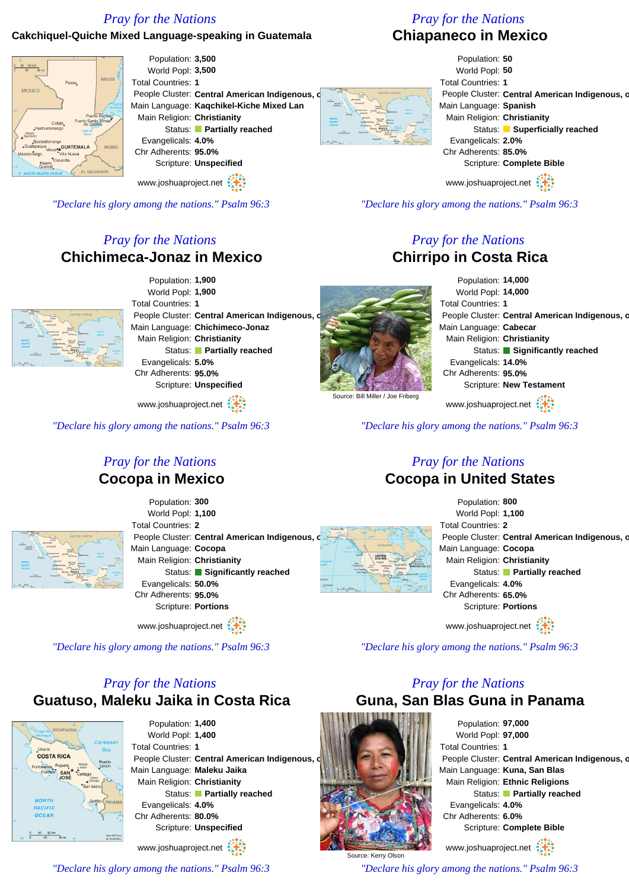## **Cakchiquel-Quiche Mixed Language-speaking in Guatemala**

## *Pray for the Nations*

## **Chiapaneco in Mexico**

Population: **3,500** Population: **50** World Popl: **3,500** World Popl: **50 PELIZE** Total Countries: **1** Total Countries: **1** People Cluster: Central American Indigenous, People Cluster: Central American Indigenous, o Main Language: **Kaqchikel-Kiche Mixed Lan** Main Language: **Spanish** Main Religion: **Christianity** Main Religion: **Christianity** Status: **Partially reached** Status: **Superficially reached** Evangelicals: **4.0%** Evangelicals: **2.0%** <sub>ngo</sub><br><sub>o</sub>•<sub>★</sub>GUATEMALA Chr Adherents: **95.0%** Chr Adherents: **85.0%** Scripture: **Unspecified** Scripture: **Complete Bible** www.joshuaproject.net www.joshuaproject.net

*"Declare his glory among the nations." Psalm 96:3*

## *Pray for the Nations* **Chirripo in Costa Rica**

Population: **14,000** World Popl: **14,000** Total Countries: **1** People Cluster: Central American Indigenous, o Main Language: **Cabecar** Main Religion: **Christianity** Status: **Significantly reached** Evangelicals: **14.0%** Chr Adherents: **95.0%** Scripture: **New Testament**

www.joshuaproject.net

*"Declare his glory among the nations." Psalm 96:3*

## *Pray for the Nations* **Cocopa in United States**



www.joshuaproject.net

*"Declare his glory among the nations." Psalm 96:3*

## *Pray for the Nations*

**Guna, San Blas Guna in Panama**



Source: Kerry Olson

*"Declare his glory among the nations." Psalm 96:3*



*"Declare his glory among the nations." Psalm 96:3*

## *Pray for the Nations* **Chichimeca-Jonaz in Mexico**



Population: **1,900** World Popl: **1,900** Total Countries: **1** People Cluster: Central American Indigenous, o Main Language: **Chichimeco-Jonaz** Main Religion: **Christianity** Status: **Partially reached** Evangelicals: **5.0%** Chr Adherents: **95.0%** Scripture: **Unspecified**

www.joshuaproject.net

*"Declare his glory among the nations." Psalm 96:3*

## *Pray for the Nations* **Cocopa in Mexico**

Population: **300**



World Popl: **1,100** Total Countries: **2** People Cluster: **Central American Indigenous, c** Main Language: **Cocopa** Main Religion: **Christianity** Status: **Significantly reached** Evangelicals: **50.0%** Chr Adherents: **95.0%** Scripture: **Portions**

www.joshuaproject.net

*"Declare his glory among the nations." Psalm 96:3*

## *Pray for the Nations* **Guatuso, Maleku Jaika in Costa Rica**



Population: **1,400** World Popl: **1,400** Total Countries: **1** People Cluster: Central American Indigenous, o Main Language: **Maleku Jaika** Main Religion: **Christianity** Status: **Partially reached** Evangelicals: **4.0%** Chr Adherents: **80.0%** Scripture: **Unspecified** www.joshuaproject.net

*"Declare his glory among the nations." Psalm 96:3*





Source: Bill Miller / Joe Friberg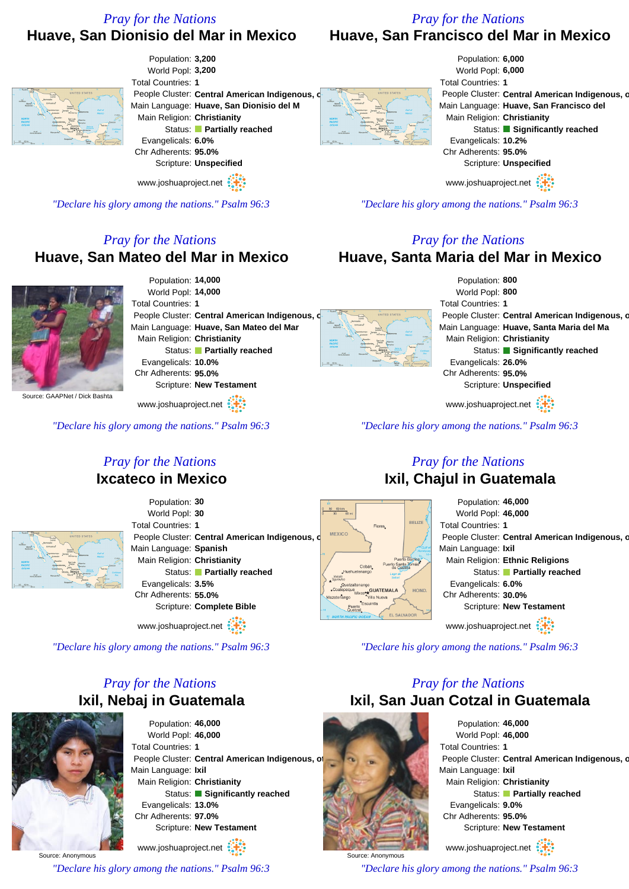## *Pray for the Nations* **Huave, San Francisco del Mar in Mexico**

## **Huave, San Dionisio del Mar in Mexico**



*"Declare his glory among the nations." Psalm 96:3*

## *Pray for the Nations*

## **Huave, Santa Maria del Mar in Mexico**



*"Declare his glory among the nations." Psalm 96:3*

## *Pray for the Nations* **Ixil, Chajul in Guatemala**



*"Declare his glory among the nations." Psalm 96:3*

## *Pray for the Nations* **Ixil, San Juan Cotzal in Guatemala**



Source: Anonymous *"Declare his glory among the nations." Psalm 96:3*



*"Declare his glory among the nations." Psalm 96:3*

## *Pray for the Nations* **Huave, San Mateo del Mar in Mexico**



Population: **14,000** World Popl: **14,000** Total Countries: **1** People Cluster: Central American Indigenous, Main Language: **Huave, San Mateo del Mar** Main Religion: **Christianity** Status: **Partially reached** Evangelicals: **10.0%** Chr Adherents: **95.0%** Scripture: **New Testament**

www.joshuaproject.net

*"Declare his glory among the nations." Psalm 96:3*

## *Pray for the Nations* **Ixcateco in Mexico**



Population: **30** World Popl: **30** Total Countries: **1** People Cluster: **Central American Indigenous, c** Main Language: **Spanish** Main Religion: **Christianity** Status: **Partially reached** Evangelicals: **3.5%** Chr Adherents: **55.0%** Scripture: **Complete Bible**

www.joshuaproject.net

*"Declare his glory among the nations." Psalm 96:3*

## *Pray for the Nations* **Ixil, Nebaj in Guatemala**



Population: **46,000** World Popl: **46,000** Total Countries: **1** People Cluster: Central American Indigenous, of Main Language: **Ixil** Main Religion: **Christianity** Status: **Significantly reached** Evangelicals: **13.0%** Chr Adherents: **97.0%** Scripture: **New Testament**

Source: Anonymous www.joshuaproject.net

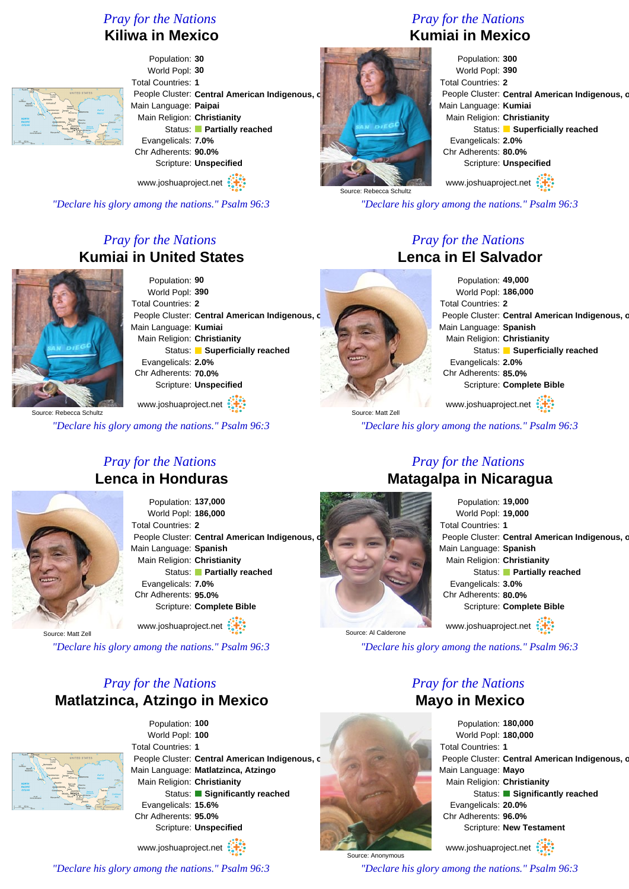## **Kiliwa in Mexico**



Population: **30** World Popl: **30** Total Countries: **1** People Cluster: Central American Indigenous, o Main Language: **Paipai** Main Religion: **Christianity** Status: **Partially reached** Evangelicals: **7.0%** Chr Adherents: **90.0%** Scripture: **Unspecified**

www.joshuaproject.net

*"Declare his glory among the nations." Psalm 96:3*

## *Pray for the Nations* **Kumiai in United States**



Population: **90** World Popl: **390** Total Countries: **2** People Cluster: Central American Indigenous, c Main Language: **Kumiai** Main Religion: **Christianity** Status: **Superficially reached** Evangelicals: **2.0%** Chr Adherents: **70.0%** Scripture: **Unspecified**

www.joshuaproject.net

*"Declare his glory among the nations." Psalm 96:3*

*Pray for the Nations*

## *Pray for the Nations* **Kumiai in Mexico**



*"Declare his glory among the nations." Psalm 96:3*

## *Pray for the Nations* **Lenca in El Salvador**

Population: **49,000** World Popl: **186,000** Total Countries: **2** People Cluster: Central American Indigenous, o Main Language: **Spanish** Main Religion: **Christianity** Status: **Superficially reached** Evangelicals: **2.0%** Chr Adherents: **85.0%** Scripture: **Complete Bible**

www.joshuaproject.net

*"Declare his glory among the nations." Psalm 96:3*

# **Lenca in Honduras**

Population: **137,000** World Popl: **186,000** Total Countries: **2** People Cluster: Central American Indigenous, o Main Language: **Spanish** Main Religion: **Christianity** Status: **Partially reached** Evangelicals: **7.0%** Chr Adherents: **95.0%** Scripture: **Complete Bible**

Source: Matt Zell

*"Declare his glory among the nations." Psalm 96:3*

## *Pray for the Nations* **Matlatzinca, Atzingo in Mexico**

*"Declare his glory among the nations." Psalm 96:3*



Population: **100** World Popl: **100** Total Countries: **1** People Cluster: **Central American Indigenous, c** Main Language: **Matlatzinca, Atzingo** Main Religion: **Christianity** Status: **Significantly reached** Evangelicals: **15.6%** Chr Adherents: **95.0%** Scripture: **Unspecified** www.joshuaproject.net

Source: Matt Zell

## *Pray for the Nations* **Matagalpa in Nicaragua**

Population: **19,000** World Popl: **19,000** Total Countries: **1** People Cluster: Central American Indigenous, on Main Language: **Spanish** Main Religion: **Christianity** Status: **Partially reached** Evangelicals: **3.0%** Chr Adherents: **80.0%** Scripture: **Complete Bible** www.joshuaproject.net

Source: Al Calderone

Source: Anonymous

*"Declare his glory among the nations." Psalm 96:3*

## *Pray for the Nations* **Mayo in Mexico**

Population: **180,000** World Popl: **180,000** Total Countries: **1** People Cluster: Central American Indigenous, o Main Language: **Mayo** Main Religion: **Christianity** Status: **Significantly reached** Evangelicals: **20.0%** Chr Adherents: **96.0%** Scripture: **New Testament** www.joshuaproject.net

*"Declare his glory among the nations." Psalm 96:3*



www.joshuaproject.net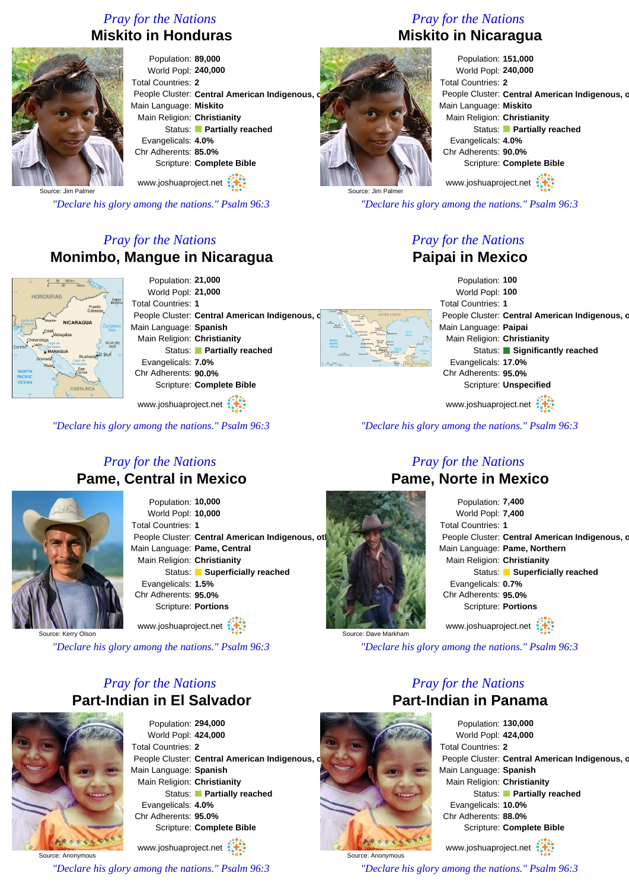## *Pray for the Nations* **Miskito in Honduras**



Population: **89,000** World Popl: **240,000** Total Countries: **2** People Cluster: Central American Indigenous, Main Language: **Miskito** Main Religion: **Christianity** Status: **Partially reached** Evangelicals: **4.0%** Chr Adherents: **85.0%** Scripture: **Complete Bible** www.joshuaproject.net

Source: Jim Palmer

*"Declare his glory among the nations." Psalm 96:3*

## *Pray for the Nations* **Monimbo, Mangue in Nicaragua**



Population: **21,000** World Popl: **21,000** Total Countries: **1** People Cluster: Central American Indigenous, Main Language: **Spanish** Main Religion: **Christianity** Status: **Partially reached** Evangelicals: **7.0%** Chr Adherents: **90.0%** Scripture: **Complete Bible**

www.joshuaproject.net

*"Declare his glory among the nations." Psalm 96:3*

## *Pray for the Nations* **Pame, Central in Mexico**



Population: **10,000** World Popl: **10,000** Total Countries: **1** People Cluster: Central American Indigenous, otl Main Language: **Pame, Central** Main Religion: **Christianity** Status: **Superficially reached** Evangelicals: **1.5%** Chr Adherents: **95.0%** Scripture: **Portions**

Source: Kerry Olson

*"Declare his glory among the nations." Psalm 96:3*

www.joshuaproject.net

## *Pray for the Nations* **Part-Indian in El Salvador**



Source: Anonymous

Population: **294,000** World Popl: **424,000** Total Countries: **2** People Cluster: Central American Indigenous, o Main Language: **Spanish** Main Religion: **Christianity** Status: **Partially reached** Evangelicals: **4.0%** Chr Adherents: **95.0%** Scripture: **Complete Bible**

www.joshuaproject.net

*"Declare his glory among the nations." Psalm 96:3*

## *Pray for the Nations* **Miskito in Nicaragua**



www.joshuaproject.net

*"Declare his glory among the nations." Psalm 96:3*

## *Pray for the Nations* **Paipai in Mexico**

Population: **100** World Popl: **100** Total Countries: **1** People Cluster: Central American Indigenous, o Main Language: **Paipai** Main Religion: **Christianity** Status: **Significantly reached** Evangelicals: **17.0%** Chr Adherents: **95.0%** Scripture: **Unspecified**

www.joshuaproject.net

*"Declare his glory among the nations." Psalm 96:3*

Source: Jim Palmer

## *Pray for the Nations* **Pame, Norte in Mexico**

Population: **7,400** World Popl: **7,400** Total Countries: **1** People Cluster: Central American Indigenous, o Main Language: **Pame, Northern** Main Religion: **Christianity** Status: **Superficially reached** Evangelicals: **0.7%** Chr Adherents: **95.0%** Scripture: **Portions** www.joshuaproject.net

Source: Dave Markha

*"Declare his glory among the nations." Psalm 96:3*

## *Pray for the Nations* **Part-Indian in Panama**



Population: **130,000** World Popl: **424,000** Total Countries: **2** People Cluster: Central American Indigenous, o Main Language: **Spanish** Main Religion: **Christianity** Status: **Partially reached** Evangelicals: **10.0%** Chr Adherents: **88.0%** Scripture: **Complete Bible** www.joshuaproject.net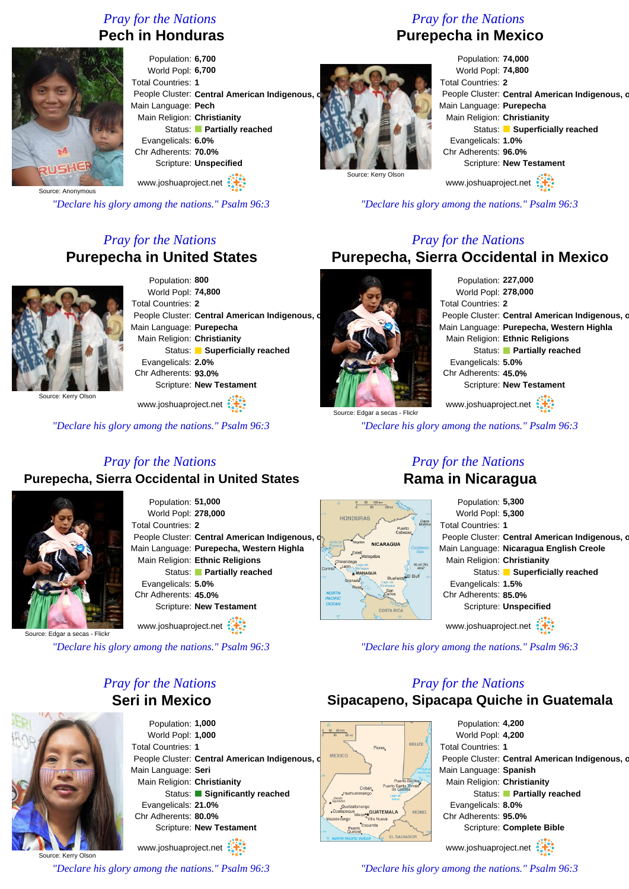## *Pray for the Nations* **Pech in Honduras**



Population: **6,700** World Popl: **6,700** Total Countries: **1** People Cluster: Central American Indigenous, Main Language: **Pech** Main Religion: **Christianity** Status: **Partially reached** Evangelicals: **6.0%** Chr Adherents: **70.0%** Scripture: **Unspecified** www.joshuaproject.net

Source: Anonymous

*"Declare his glory among the nations." Psalm 96:3*

## *Pray for the Nations* **Purepecha in United States**



Population: **800** World Popl: **74,800** Total Countries: **2** People Cluster: Central American Indigenous, o Main Language: **Purepecha** Main Religion: **Christianity** Status: **Superficially reached** Evangelicals: **2.0%** Chr Adherents: **93.0%** Scripture: **New Testament**

www.joshuaproject.net

*"Declare his glory among the nations." Psalm 96:3*

## *Pray for the Nations* **Purepecha in Mexico**



Population: **74,000** World Popl: **74,800** Total Countries: **2** People Cluster: Central American Indigenous, o Main Language: **Purepecha** Main Religion: **Christianity** Status: **Superficially reached** Evangelicals: **1.0%** Chr Adherents: **96.0%** Scripture: **New Testament** www.joshuaproject.net

*"Declare his glory among the nations." Psalm 96:3*

## *Pray for the Nations* **Purepecha, Sierra Occidental in Mexico**

Population: **227,000** World Popl: **278,000** Total Countries: **2** People Cluster: Central American Indigenous, o Main Language: **Purepecha, Western Highla** Main Religion: **Ethnic Religions** Status: **Partially reached** Evangelicals: **5.0%** Chr Adherents: **45.0%** Scripture: **New Testament** www.joshuaproject.net

*"Declare his glory among the nations." Psalm 96:3*

## *Pray for the Nations* **Purepecha, Sierra Occidental in United States**



Population: **51,000** World Popl: **278,000** Total Countries: **2** People Cluster: Central American Indigenous, o Main Language: **Purepecha, Western Highla** Main Religion: **Ethnic Religions** Status: **Partially reached** Evangelicals: **5.0%** Chr Adherents: **45.0%** Scripture: **New Testament**

Source: Edgar a se

*"Declare his glory among the nations." Psalm 96:3*

*Pray for the Nations*

www.joshuaproject.net

## **Seri in Mexico**

Population: **1,000** World Popl: **1,000** Total Countries: **1** People Cluster: **Central American Indigenous, d** MEXICO Main Language: **Seri** Main Religion: **Christianity** Status: **Significantly reached** Evangelicals: **21.0%** Chr Adherents: **80.0%** Scripture: **New Testament**

Source: Kerry Olson www.joshuaproject.net

*"Declare his glory among the nations." Psalm 96:3*

## *Pray for the Nations* **Rama in Nicaragua**

| 100 km                               | Population: 5,300                              |
|--------------------------------------|------------------------------------------------|
| S                                    | World Popl: 5,300                              |
| Cayos<br>Miskitos<br>Puerto          | Total Countries: 1                             |
|                                      | People Cluster: Central American Indigenous, d |
| <b>NICARAGUA</b><br>Caribbean<br>Sea | Main Language: Nicaragua English Creole        |
| tagalpa<br><b>ISLAS DEL</b>          | Main Religion: Christianity                    |
| MA(7<br><b>GUA</b><br>FI Bluff       | Status: Superficially reached                  |
| Bluefields<br>$L$ ago di<br>Ą,       | Evangelicals: 1.5%                             |
| San<br>Carlos                        | Chr Adherents: 85.0%                           |
| COSTA RICA                           | Scripture: Unspecified                         |
|                                      |                                                |
|                                      | www.joshuaproject.net                          |

*"Declare his glory among the nations." Psalm 96:3*

## *Pray for the Nations*

## **Sipacapeno, Sipacapa Quiche in Guatemala**



*"Declare his glory among the nations." Psalm 96:3*



HONDUR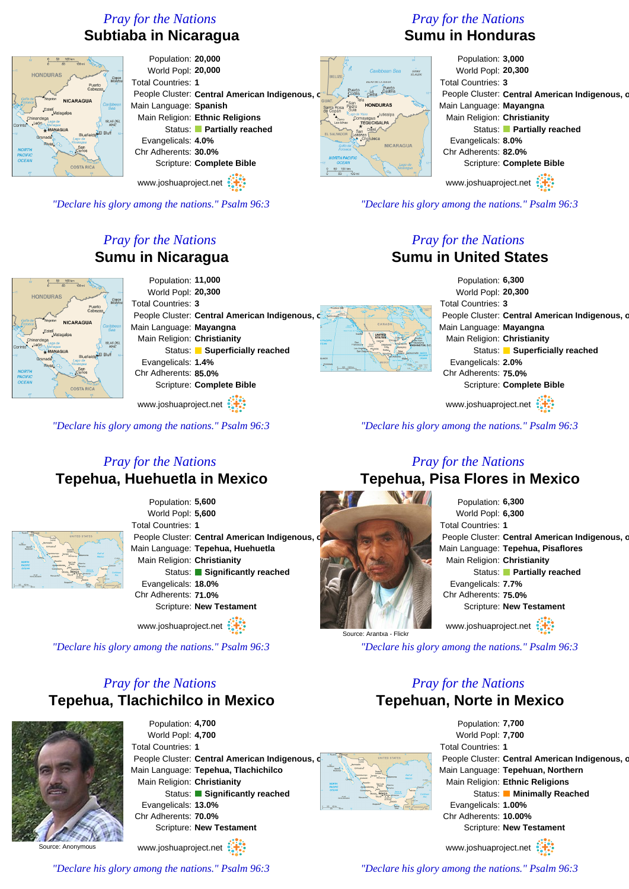## *Pray for the Nations* **Subtiaba in Nicaragua**



Population: **20,000** World Popl: **20,000** Total Countries: **1** People Cluster: Central American Indigenous, o Main Language: **Spanish** Main Religion: **Ethnic Religions** Status: **Partially reached** Evangelicals: **4.0%** Chr Adherents: **30.0%** Scripture: **Complete Bible**

www.joshuaproject.net

*"Declare his glory among the nations." Psalm 96:3*

## *Pray for the Nations* **Sumu in Nicaragua**



Population: **11,000** World Popl: **20,300** Total Countries: **3** People Cluster: Central American Indigenous, o Main Language: **Mayangna** Main Religion: **Christianity** Status: **Superficially reached** Evangelicals: **1.4%** Chr Adherents: **85.0%** Scripture: **Complete Bible**

www.joshuaproject.net

*"Declare his glory among the nations." Psalm 96:3*

## *Pray for the Nations* **Tepehua, Huehuetla in Mexico**



Population: **5,600** World Popl: **5,600** Total Countries: **1** People Cluster: Central American Indigenous, Main Language: **Tepehua, Huehuetla** Main Religion: **Christianity** Status: **Significantly reached** Evangelicals: **18.0%** Chr Adherents: **71.0%** Scripture: **New Testament**

www.joshuaproject.net

*"Declare his glory among the nations." Psalm 96:3*

## *Pray for the Nations* **Tepehua, Tlachichilco in Mexico**



Population: **4,700** World Popl: **4,700** Total Countries: **1** People Cluster: Central American Indigenous. Main Language: **Tepehua, Tlachichilco** Main Religion: **Christianity** Status: **Significantly reached** Evangelicals: **13.0%** Chr Adherents: **70.0%** Scripture: **New Testament**

www.joshuaproject.net

*"Declare his glory among the nations." Psalm 96:3*

## *Pray for the Nations* **Sumu in Honduras**

Puerto **HONDURAS** 

## Population: **3,000** World Popl: **20,300** Total Countries: **3** People Cluster: Central American Indigenous, o Main Language: **Mayangna** Main Religion: **Christianity** Status: **Partially reached** Evangelicals: **8.0%** Chr Adherents: **82.0%** Scripture: **Complete Bible**

www.joshuaproject.net

*"Declare his glory among the nations." Psalm 96:3*

## *Pray for the Nations* **Sumu in United States**

Population: **6,300** World Popl: **20,300** Total Countries: **3** People Cluster: Central American Indigenous, o Main Language: **Mayangna** Main Religion: **Christianity** Status: **Superficially reached** Evangelicals: **2.0%** Chr Adherents: **75.0%** Scripture: **Complete Bible**

www.joshuaproject.net

*"Declare his glory among the nations." Psalm 96:3*

## *Pray for the Nations* **Tepehua, Pisa Flores in Mexico**



*"Declare his glory among the nations." Psalm 96:3*

## *Pray for the Nations* **Tepehuan, Norte in Mexico**

Population: **7,700** World Popl: **7,700** Total Countries: **1** People Cluster: Central American Indigenous, o Main Language: **Tepehuan, Northern** Main Religion: **Ethnic Religions** Status: **Minimally Reached** Evangelicals: **1.00%** Chr Adherents: **10.00%** Scripture: **New Testament**

www.joshuaproject.net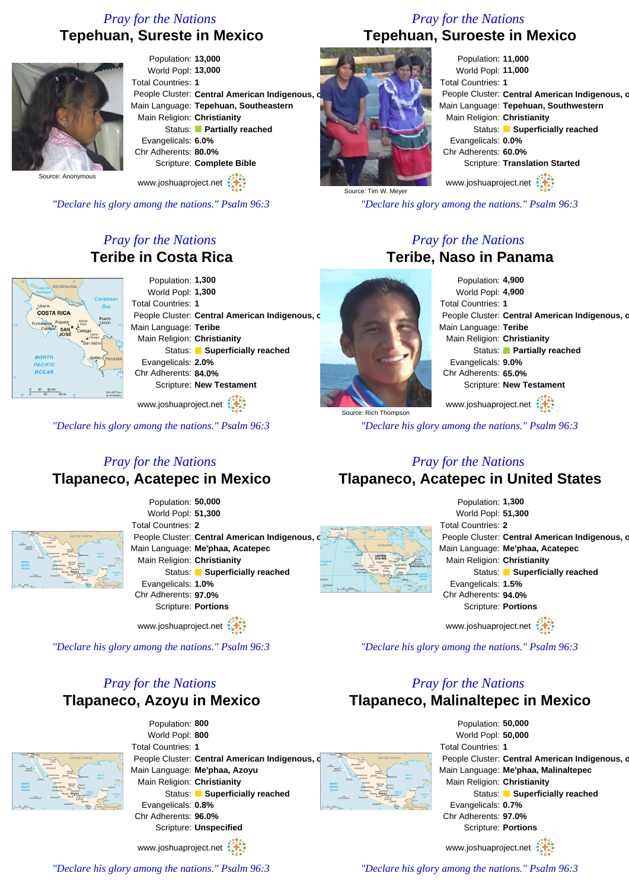## *Pray for the Nations* **Tepehuan, Sureste in Mexico**



Population: **13,000** World Popl: **13,000** Total Countries: **1** People Cluster: Central American Indigenous, o Main Language: **Tepehuan, Southeastern** Main Religion: **Christianity** Status: **Partially reached** Evangelicals: **6.0%** Chr Adherents: **80.0%** Scripture: **Complete Bible**

www.joshuaproject.net

*"Declare his glory among the nations." Psalm 96:3*

## *Pray for the Nations* **Teribe in Costa Rica**



Population: **1,300** World Popl: **1,300** Total Countries: **1** People Cluster: Central American Indigenous, c Main Language: **Teribe** Main Religion: **Christianity** Status: **Superficially reached** Evangelicals: **2.0%** Chr Adherents: **84.0%** Scripture: **New Testament**

www.joshuaproject.net

*"Declare his glory among the nations." Psalm 96:3*

Source: Rich Thompson

*Pray for the Nations* **Teribe, Naso in Panama** Population: **4,900** World Popl: **4,900** Total Countries: **1** People Cluster: Central American Indigenous, o Main Language: **Teribe** Main Religion: **Christianity** Status: **Partially reached** Evangelicals: **9.0%**

People Cluster: Central American Indigenous, o

Status: **Superficially reached** 

Scripture: **Translation Started**

Chr Adherents: **65.0%** Scripture: **New Testament**

www.joshuaproject.net

*"Declare his glory among the nations." Psalm 96:3*

## *Pray for the Nations* **Tlapaneco, Acatepec in Mexico**



Population: **50,000** World Popl: **51,300** Total Countries: **2** People Cluster: Central American Indigenous, c Main Language: **Me'phaa, Acatepec** Main Religion: **Christianity** Status: **Superficially reached** Evangelicals: **1.0%** Chr Adherents: **97.0%** Scripture: **Portions**

www.joshuaproject.net

*"Declare his glory among the nations." Psalm 96:3*

## *Pray for the Nations* **Tlapaneco, Azoyu in Mexico**



| Population: 800             |                                                |                               |                      |         |  |
|-----------------------------|------------------------------------------------|-------------------------------|----------------------|---------|--|
| World Popl: 800             |                                                |                               |                      |         |  |
| <b>Total Countries: 1</b>   |                                                |                               |                      |         |  |
|                             | People Cluster: Central American Indigenous, d |                               | <b>August</b>        |         |  |
|                             | Main Language: Me'phaa, Azoyu                  | Gabbon<br>Morro<br>Berlynde   | Chinushus<br>Tompées | Liveria |  |
| Main Religion: Christianity |                                                | <b>NYSISTE</b><br><b>MORE</b> |                      |         |  |
|                             | Status: Superficially reached                  | ncea                          | Maccan               |         |  |
| Evangelicals: 0.8%          |                                                |                               |                      | Sales   |  |
| Chr Adherents: 96.0%        |                                                |                               |                      |         |  |
|                             | Scripture: Unspecified                         |                               |                      |         |  |
| www.joshuaproject.net       |                                                |                               |                      |         |  |

## *Pray for the Nations*

## **Tlapaneco, Acatepec in United States**



www.joshuaproject.net

*"Declare his glory among the nations." Psalm 96:3*

## *Pray for the Nations*

## **Tlapaneco, Malinaltepec in Mexico**

Population: **50,000** World Popl: **50,000** Total Countries: **1** People Cluster: Central American Indigenous, o Main Language: **Me'phaa, Malinaltepec** Main Religion: **Christianity** Status: **Superficially reached** Evangelicals: **0.7%** Chr Adherents: **97.0%** Scripture: **Portions**

www.joshuaproject.net

*"Declare his glory among the nations." Psalm 96:3*

*"Declare his glory among the nations." Psalm 96:3*

## *Pray for the Nations* **Tepehuan, Suroeste in Mexico**

Total Countries: **1**

*"Declare his glory among the nations." Psalm 96:3*

Population: **11,000** World Popl: **11,000**

Main Religion: **Christianity**

www.joshuaproject.net

Evangelicals: **0.0%** Chr Adherents: **60.0%**

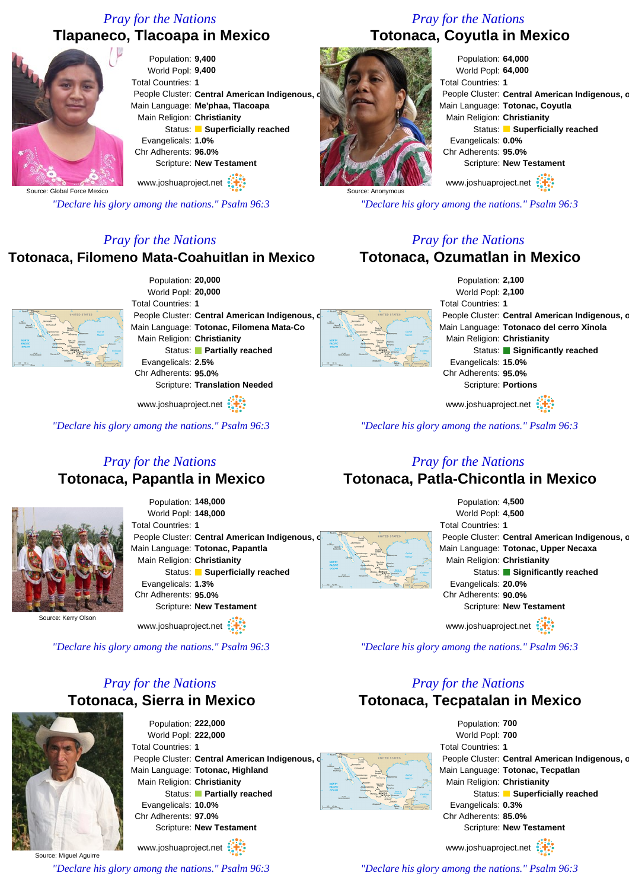## **Tlapaneco, Tlacoapa in Mexico**



Source: Global Force Mexico

*"Declare his glory among the nations." Psalm 96:3*

## *Pray for the Nations*

## **Totonaca, Filomeno Mata-Coahuitlan in Mexico**



Population: **20,000** World Popl: **20,000** Total Countries: **1** People Cluster: Central American Indigenous, Main Language: **Totonac, Filomena Mata-Co** Main Religion: **Christianity** Status: **Partially reached** Evangelicals: **2.5%** Chr Adherents: **95.0%** Scripture: **Translation Needed**

www.joshuaproject.net

*"Declare his glory among the nations." Psalm 96:3*

## *Pray for the Nations* **Totonaca, Coyutla in Mexico**



*"Declare his glory among the nations." Psalm 96:3*

## *Pray for the Nations* **Totonaca, Ozumatlan in Mexico**

Population: **2,100** World Popl: **2,100** Total Countries: **1** People Cluster: Central American Indigenous, o Main Language: **Totonaco del cerro Xinola** Main Religion: **Christianity** Status: **Significantly reached** Evangelicals: **15.0%** Chr Adherents: **95.0%** Scripture: **Portions**

www.joshuaproject.net

*"Declare his glory among the nations." Psalm 96:3*

## *Pray for the Nations* **Totonaca, Papantla in Mexico**



Population: **148,000** World Popl: **148,000** Total Countries: **1** People Cluster: Central American Indigenous, o Main Language: **Totonac, Papantla** Main Religion: **Christianity** Status: **Superficially reached** Evangelicals: **1.3%** Chr Adherents: **95.0%** Scripture: **New Testament**

Source: Kerry Olson

www.joshuaproject.net

*"Declare his glory among the nations." Psalm 96:3*

## *Pray for the Nations* **Totonaca, Sierra in Mexico**



Population: **222,000** World Popl: **222,000** Total Countries: **1** People Cluster: Central American Indigenous, o Main Language: **Totonac, Highland** Main Religion: **Christianity** Status: **Partially reached** Evangelicals: **10.0%** Chr Adherents: **97.0%** Scripture: **New Testament**

www.joshuaproject.net

*"Declare his glory among the nations." Psalm 96:3*

## *Pray for the Nations* **Totonaca, Patla-Chicontla in Mexico**



www.joshuaproject.net

*"Declare his glory among the nations." Psalm 96:3*

## *Pray for the Nations*

**Totonaca, Tecpatalan in Mexico**

Population: **700** World Popl: **700** Total Countries: **1** People Cluster: Central American Indigenous, o Main Language: **Totonac, Tecpatlan** Main Religion: **Christianity** Status: **Superficially reached** Evangelicals: **0.3%** Chr Adherents: **85.0%** Scripture: **New Testament**

www.joshuaproject.net

*"Declare his glory among the nations." Psalm 96:3*



Source: Anonymous